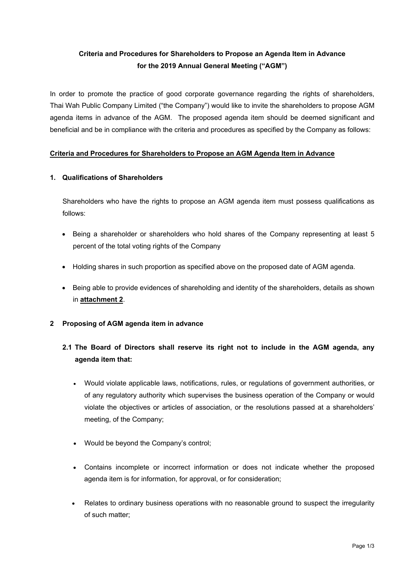# **Criteria and Procedures for Shareholders to Propose an Agenda Item in Advance for the 2019 Annual General Meeting ("AGM")**

In order to promote the practice of good corporate governance regarding the rights of shareholders, Thai Wah Public Company Limited ("the Company") would like to invite the shareholders to propose AGM agenda items in advance of the AGM. The proposed agenda item should be deemed significant and beneficial and be in compliance with the criteria and procedures as specified by the Company as follows:

### **Criteria and Procedures for Shareholders to Propose an AGM Agenda Item in Advance**

### **1. Qualifications of Shareholders**

Shareholders who have the rights to propose an AGM agenda item must possess qualifications as follows:

- Being a shareholder or shareholders who hold shares of the Company representing at least 5 percent of the total voting rights of the Company
- Holding shares in such proportion as specified above on the proposed date of AGM agenda.
- Being able to provide evidences of shareholding and identity of the shareholders, details as shown in **attachment 2**.
- **2 Proposing of AGM agenda item in advance**

# **2.1 The Board of Directors shall reserve its right not to include in the AGM agenda, any agenda item that:**

- Would violate applicable laws, notifications, rules, or regulations of government authorities, or of any regulatory authority which supervises the business operation of the Company or would violate the objectives or articles of association, or the resolutions passed at a shareholders' meeting, of the Company;
- Would be beyond the Company's control;
- Contains incomplete or incorrect information or does not indicate whether the proposed agenda item is for information, for approval, or for consideration;
- Relates to ordinary business operations with no reasonable ground to suspect the irregularity of such matter;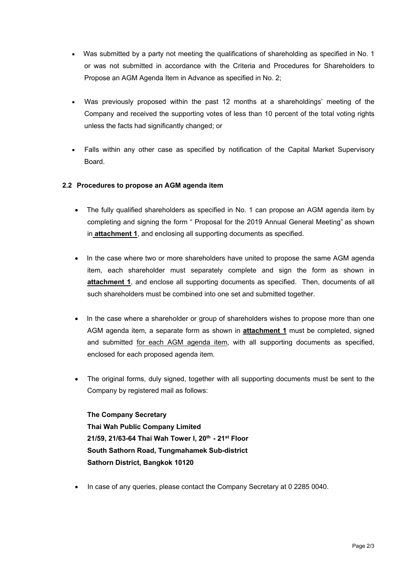- Was submitted by a party not meeting the qualifications of shareholding as specified in No. 1 or was not submitted in accordance with the Criteria and Procedures for Shareholders to Propose an AGM Agenda Item in Advance as specified in No. 2;
- Was previously proposed within the past 12 months at a shareholdings' meeting of the Company and received the supporting votes of less than 10 percent of the total voting rights unless the facts had significantly changed; or
- Falls within any other case as specified by notification of the Capital Market Supervisory Board.

## **2.2 Procedures to propose an AGM agenda item**

- The fully qualified shareholders as specified in No. 1 can propose an AGM agenda item by completing and signing the form " Proposal for the 2019 Annual General Meeting" as shown in **attachment 1**, and enclosing all supporting documents as specified.
- In the case where two or more shareholders have united to propose the same AGM agenda item, each shareholder must separately complete and sign the form as shown in **attachment 1**, and enclose all supporting documents as specified. Then, documents of all such shareholders must be combined into one set and submitted together.
- In the case where a shareholder or group of shareholders wishes to propose more than one AGM agenda item, a separate form as shown in **attachment 1** must be completed, signed and submitted for each AGM agenda item, with all supporting documents as specified, enclosed for each proposed agenda item.
- The original forms, duly signed, together with all supporting documents must be sent to the Company by registered mail as follows:

**The Company Secretary Thai Wah Public Company Limited 21/59, 21/63-64 Thai Wah Tower I, 20th - 21st Floor South Sathorn Road, Tungmahamek Sub-district Sathorn District, Bangkok 10120**

In case of any queries, please contact the Company Secretary at 0 2285 0040.